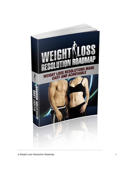

© *Weight Loss Resolution Roadmap* i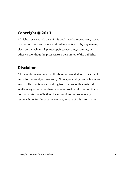## **Copyright © 2013**

All rights reserved. No part of this book may be reproduced, stored in a retrieval system, or transmitted in any form or by any means, electronic, mechanical, photocopying, recording, scanning, or otherwise, without the prior written permission of the publisher.

## **Disclaimer**

All the material contained in this book is provided for educational and informational purposes only. No responsibility can be taken for any results or outcomes resulting from the use of this material. While every attempt has been made to provide information that is both accurate and effective, the author does not assume any responsibility for the accuracy or use/misuse of this information.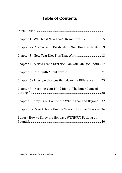## **Table of Contents**

| Chapter 2 - The Secret to Establishing New Healthy Habits 9   |
|---------------------------------------------------------------|
|                                                               |
| Chapter 4 - A New Year's Exercise Plan You Can Stick With  17 |
|                                                               |
| Chapter 6 - Lifestyle Changes that Make the Difference 25     |
| Chapter 7 – Keeping Your Mind Right - The Inner Game of       |
| Chapter 8 - Staying on Course the Whole Year and Beyond  32   |
| Chapter 9 - Take Action - Build a New YOU for the New Year 36 |
| Bonus - How to Enjoy the Holidays WITHOUT Packing on          |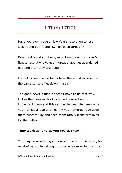## INTRODUCTION

<span id="page-3-0"></span>Have you ever made a New Year's resolution to lose weight and get fit and NOT followed through?

Don't feel bad if you have, in fact nearly all New Year's fitness resolutions to get in great shape get abandoned not long after they are begun.

I should know I've certainly been there and experienced the same sense of let down myself.

The good news is that it doesn't have to be that way. Follow the ideas in this Guide and take action to implement them and this can be the year that sees a new you - an ideal lean and healthy you - emerge. I've used them successfully and seen them totally transform lives for the better.

#### **They work as long as you WORK them!**

You may be wondering if it's worth the effort. After all, for most of us, while getting into shape is rewarding it's often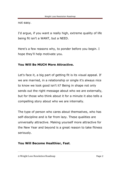not easy.

I'd argue, if you want a really high, extreme quality of life being fit isn't a WANT, but a NEED.

Here's a few reasons why, to ponder before you begin. I hope they'll help motivate you.

#### **You Will Be MUCH More Attractive.**

Let's face it, a big part of getting fit is its visual appeal. If we are married, in a relationship or single it's always nice to know we look good isn't it? Being in shape not only sends out the right message about who we are externally, but for those who think about it for a minute it also tells a compelling story about who we are internally.

The type of person who cares about themselves, who has self-discipline and is far from lazy. These qualities are universally attractive. Making yourself more attractive for the New Year and beyond is a great reason to take fitness seriously.

#### **You Will Become Healthier, Fast**.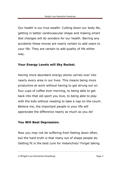Our health is our true wealth. Cutting down our body fat, getting in better cardiovascular shape and making smart diet changes will do wonders for our health. Barring any accidents these moves are nearly certain to add years to your life. They are certain to add quality of life either way.

#### **Your Energy Levels will Sky Rocket.**

Having more abundant energy stores carries over into nearly every area in our lives. This means being more productive at work without having to get strung out on four cups of coffee ever morning, to being able to get back into that old sport you love, to being able to play with the kids without needing to take a nap on the couch. Believe me, the important people in your life will appreciate the difference nearly as much as you do!

#### **You Will Beat Depression.**

Now you may not be suffering from feeling down often, but the hard truth is that many out of shape people do. Getting fit is the best cure for melancholy! Forget taking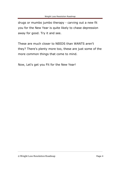drugs or mumbo jumbo therapy - carving out a new fit you for the New Year is quite likely to chase depression away for good. Try it and see.

These are much closer to NEEDS than WANTS aren't they? There's plenty more too, these are just some of the more common things that come to mind.

Now, Let's get you Fit for the New Year!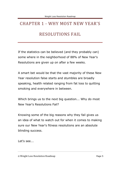## <span id="page-7-0"></span>CHAPTER 1 - WHY MOST NEW YEAR'S RESOLUTIONS FAIL

If the statistics can be believed (and they probably can) some where in the neighborhood of 88% of New Year's Resolutions are given up on after a few weeks.

A smart bet would be that the vast majority of these New Year resolution false starts and stumbles are broadly speaking, health related ranging from fat loss to quitting smoking and everywhere in between.

Which brings us to the next big question... Why do most New Year's Resolutions Fail?

Knowing some of the big reasons why they fail gives us an idea of what to watch out for when it comes to making sure our New Year's fitness resolutions are an absolute blinding success.

Let's see...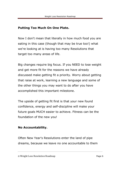#### **Putting Too Much On One Plate.**

Now I don't mean that literally in how much food you are eating in this case (though that may be true too!) what we're looking at is having too many Resolutions that target too many areas of life.

Big changes require big focus. If you NEED to lose weight and get more fit for the reasons we have already discussed make getting fit a priority. Worry about getting that raise at work, learning a new language and some of the other things you may want to do after you have accomplished this important milestone.

The upside of getting fit first is that your new found confidence, energy and self-discipline will make your future goals MUCH easier to achieve. Fitness can be the foundation of the new you!

#### **No Accountability.**

Often New Year's Resolutions enter the land of pipe dreams, because we leave no one accountable to them

<sup>©</sup> Weight Loss Resolution Roadmap Page 6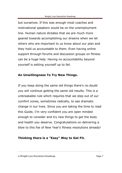but ourselves. If this was enough most coaches and motivational speakers would be on the unemployment line. Human nature dictates that we are much more geared towards accomplishing our dreams when we let others who are important to us know about our plan and they hold us accountable to them. Even having online support through forums and discussion groups on fitness can be a huge help. Having no accountability beyond yourself is setting yourself up to fail.

#### **An Unwillingness To Try New Things.**

If you keep doing the same old things there's no doubt you will continue getting the same old results. This is a unbreakable rule which requires that we step out of our comfort zones, sometimes radically, to see dramatic change in our lives. Since you are taking the time to read this Guide, I'm very confident you are open minded enough to consider and try new things to get the body and health you deserve. Congratulations on delivering a blow to this foe of New Year's fitness resolutions already!

#### **Thinking there is a "Easy" Way to Get Fit.**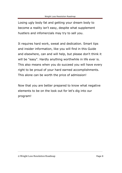Losing ugly body fat and getting your dream body to become a reality isn't easy, despite what supplement hustlers and infomercials may try to sell you.

It requires hard work, sweat and dedication. Smart tips and insider information, like you will find in this Guide and elsewhere, can and will help, but please don't think it will be "easy". Hardly anything worthwhile in life ever is. This also means when you do succeed you will have every right to be proud of your hard earned accomplishments. This alone can be worth the price of admission!

Now that you are better prepared to know what negative elements to be on the look out for let's dig into our program!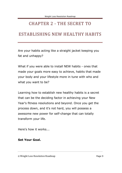### <span id="page-11-0"></span>CHAPTER 2 - THE SECRET TO

### ESTABLISHING NEW HEALTHY HABITS

Are your habits acting like a straight jacket keeping you fat and unhappy?

What if you were able to install NEW habits - ones that made your goals more easy to achieve, habits that made your body and your lifestyle more in tune with who and what you want to be?

Learning how to establish new healthy habits is a secret that can be the deciding factor in achieving your New Year's fitness resolutions and beyond. Once you get the process down, and it's not hard, you will possess a awesome new power for self-change that can totally transform your life.

Here's how it works...

#### **Set Your Goal.**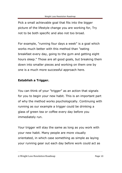Pick a small achievable goal that fits into the bigger picture of the lifestyle change you are working for, Try not to be both specific and also not too broad.

For example, "running four days a week" is a goal which works much better with this method than "eating breakfast every day, going to the gym and getting eight hours sleep." Those are all good goals, but breaking them down into smaller pieces and working on them one by one is a much more successful approach here.

#### **Establish a Trigger.**

You can think of your "trigger" as an action that signals for you to begin your new habit. This is an important part of why the method works psychologically. Continuing with running as our example a trigger could be drinking a glass of green tea or coffee every day before you immediately run.

Your trigger will stay the same as long as you work with your new habit. Many people are more visually orientated, in which case something as simple as laying your running gear out each day before work could act as

<sup>©</sup> Weight Loss Resolution Roadmap Page 10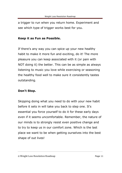a trigger to run when you return home. Experiment and see which type of trigger works best for you.

#### **Keep it as Fun as Possible.**

If there's any way you can spice up your new healthy habit to make it more fun and exciting, do it! The more pleasure you can keep associated with it (or pain with NOT doing it) the better. This can be as simple as always listening to music you love while exercising or seasoning the healthy food well to make sure it consistently tastes outstanding.

#### **Don't Stop.**

Skipping doing what you need to do with your new habit before it sets in will take you back to step one. It's essential you force yourself to do it for these early days even if it seems uncomfortable. Remember, the nature of our minds is to strongly resist even positive change and to try to keep us in our comfort zone. Which is the last place we want to be when getting ourselves into the best shape of out lives!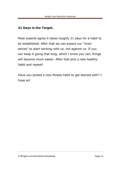#### **21 Days is the Target.**

Most experts agree it takes roughly 21 days for a habit to be established. After that we can expect our "inner selves" to start working with us, not against us. If you can keep it going that long, which I know you can, things will become much easier. After that pick a new healthy habit and repeat!

Have you picked a new fitness habit to get started with? I hope so!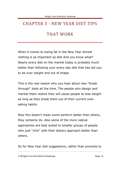## <span id="page-15-0"></span>CHAPTER 3 - NEW YEAR DIET TIPS

## THAT WORK

When it comes to losing fat in the New Year almost nothing is as important as diet And you know what? Nearly every diet on the market today is probably much better than following your every day diet that has led you to be over weight and out of shape.

This is the real reason why you hear about new "break through" diets all the time. The people who design and market them realize they will cause people to lose weight as long as they break them out of their current overeating habits.

Now this doesn't mean some perform better than others, they certainly do. Also some of the more radical approaches are best suited to smaller groups of people who just "click" with their dietary approach better than others.

So for New Year diet suggestions, rather than promote to

© Weight Loss Resolution Roadmap Page 13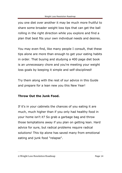you one diet over another it may be much more fruitful to share some broader weight loss tips that can get the ball rolling in the right direction while you explore and find a plan that best fits your own individual needs and desires.

You may even find, like many people I consult, that these tips alone are more than enough to get your eating habits in order. That buying and studying a 400 page diet book is an unnecessary chore and you're meeting your weight loss goals by keeping it simple and self-disciplined!

Try them along with the rest of our advice in this Guide and prepare for a lean new you this New Year!

#### **Throw Out the Junk Food.**

If it's in your cabinets the chances of you eating it are much, much higher than if you only had healthy food in your home isn't it? So grab a garbage bag and throw those temptations away if you plan on getting lean. Hard advice for sure, but radical problems require radical solutions! This tip alone has saved many from emotional eating and junk food "relapse".

#### © Weight Loss Resolution Roadmap Page 14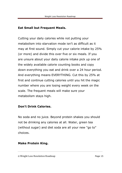#### **Eat Small but Frequent Meals.**

Cutting your daily calories while not putting your metabolism into starvation mode isn't as difficult as it may at first sound. Simply cut your calorie intake by 25% (or more) and divide this over five or six meals. If you are unsure about your daily calorie intake pick up one of the widely available calorie counting books and copy down everything you eat and drink over a 24 hour period. And everything means EVERYTHING. Cut this by 25% at first and continue cutting calories until you hit the magic number where you are losing weight every week on the scale. The frequent meals will make sure your metabolism stays high.

#### **Don't Drink Calories.**

No soda and no juice. Beyond protein shakes you should not be drinking any calories at all. Water, green tea (without sugar) and diet soda are all your new "go to" choices.

#### **Make Protein King.**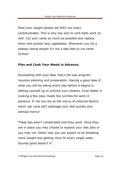Most over weight people eat WAY too many carbohydrates. This is why low and no carb diets work so well. Cut your carbs as much as possible and replace them with protein and vegetables. Whenever you hit a plateau losing weight it's not a bad idea to cut carbs further!

#### **Plan and Cook Your Meals in Advance.**

Succeeding with your New Year's fat loss program requires planning and preparation. Having a good idea of what you will be eating every day before it begins is setting yourself up to achieve your dreams. Even better is cooking a few easy meals like lunches for work in advance. If not you are at the mercy of external factors which can (and will) sabotage your diet quickly and without mercy!

These tips aren't complicated and they work. Once they are in place you may choose to expand your diet plan or you may not. Either way you can expect to be shedding more weight and getting more fit every single week. Sounds good doesn't it!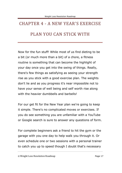# <span id="page-19-0"></span>CHAPTER 4 - A NEW YEAR'S EXERCISE PLAN YOU CAN STICK WITH

Now for the fun stuff! While most of us find dieting to be a bit (or much more than a bit) of a chore, a fitness routine is something that can become the highlight of your day once you get into the swing of things. Really, there's few things as satisfying as seeing your strength rise as you stick with a good exercise plan. The weights don't lie and as you progress it's near impossible not to have your sense of well being and self worth rise along with the heavier dumbbells and barbells!

For our get fit for the New Year plan we're going to keep it simple. There's no complicated moves or exercises. If you do see something you are unfamiliar with a YouTube or Google search is sure to answer any questions of form.

For complete beginners ask a friend to hit the gym or the garage with you one day to help walk you through it. Or even schedule one or two sessions with a personal trainer to catch you up to speed though I doubt that's necessary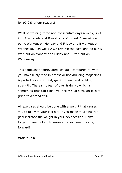#### for 99.9% of our readers!

We'll be training three non consecutive days a week, split into A workouts and B workouts. On week 1 we will do our A Workout on Monday and Friday and B workout on Wednesday. On week 2 we reverse the days and do our B Workout on Monday and Friday and B workout on Wednesday.

This somewhat abbreviated schedule compared to what you have likely read in fitness or bodybuilding magazines is perfect for cutting fat, getting toned and building strength. There's no fear of over training, which is something that can cause your New Year's weight loss to grind to a stand still.

All exercises should be done with a weight that causes you to fail with your last set. If you make your final rep goal increase the weight in your next session. Don't forget to keep a long to make sure you keep moving forward!

#### **Workout A**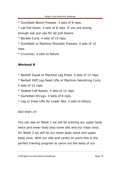\* Dumbbell Bench Presses. 4 sets of 8 reps.

\* Lat Pull Down. 4 sets of 8 reps. If you are strong enough sub pull ups for lat pull downs.

\* Barbell Curls. 4 sets of 10 reps.

\* Dumbbell or Machine Shoulder Presses. 4 sets of 12 reps.

\* Crunches. 4 sets to failure.

#### **Workout B**

- \* Barbell Squat or Machine Leg Press. 5 sets of 12 reps.
- \* Barbell Stiff Leg Dead Lifts or Machine Hamstring Curls.
- 5 sets of 12 reps.
- \* Seated Calf Raises. 4 sets of 12 reps.
- \* Dumbbell Shrugs. 4 Sets of 8 reps.
- \* Leg or Knee Lifts for Lower Abs. 3 sets to failure.

And that's it!

You can see on Week 1 we will be training our upper body twice and lower body plus some abs and our traps once. On Week 2 we will do our lower body twice and upper body once. With our diet and cardio on point this is the perfect training program to carve out the body of our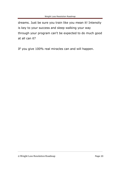dreams. Just be sure you train like you mean it! Intensity is key to your success and sleep walking your way through your program can't be expected to do much good at all can it?

IF you give 100% real miracles can and will happen.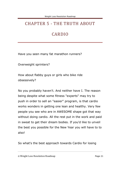## <span id="page-23-0"></span>CHAPTER 5 - THE TRUTH ABOUT

## CARDIO

Have you seen many fat marathon runners?

Overweight sprinters?

How about flabby guys or girls who bike ride obsessively?

No you probably haven't. And neither have I. The reason being despite what some fitness "experts" may try to push in order to sell an "easier" program, is that cardio works wonders in getting one lean and healthy. Very few people you see who are in AWESOME shape got that way without doing cardio. All the rest put in the work and paid in sweat to get their dream bodies. If you'd like to unveil the best you possible for the New Year you will have to to also!

So what's the best approach towards Cardio for losing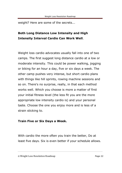weight? Here are some of the secrets...

### **Both Long Distance Low Intensity and High Intensity Interval Cardio Can Work Well**.

Weight loss cardio advocates usually fall into one of two camps. The first suggest long distance cardio at a low or moderate intensity. This could be power walking, jogging or biking for an hour a day, five or six days a week. The other camp pushes very intense, but short cardio plans with things like hill sprints, rowing machine sessions and so on. There's no surprise, really, in that each method works well. Which you choose is more a matter of first your initial fitness level (the less fit you are the more appropriate low intensity cardio is) and your personal taste. Choose the one you enjoy more and is less of a strain sticking to.

#### **Train Five or Six Days a Week.**

With cardio the more often you train the better, Do at least five days. Six is even better if your schedule allows.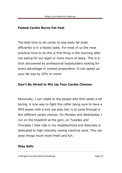#### **Fasted Cardio Burns Fat Fast**.

The best time to do cardio to lose body fat most efficiently is in a fasted state. For most of us the most practical time to do this is first thing in the morning after not eating for our eight or more hours of sleep. This is a trick discovered by professional bodybuilders looking for every advantage in contest preparation. It can speed up your fat loss by 25% or more!

#### **Don't Be Afraid to Mix Up Your Cardio Choices**.

Personally, I can relate to the people who find cardio a bit boring. A nice way to fight this (after being sure to have a MP3 player with a kick ass play list) is to cycle through a few different cardio choices. On Monday and Wednesday I run on the treadmill at the gym, on Tuesday and Thursday I bike ride in my neighborhood and Saturday is dedicated to high intensity rowing machine work. This can keep things much more fresh and fun.

#### **Stay Safe.**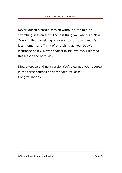Never launch a cardio session without a ten minute stretching session first. The last thing you want is a New Year's pulled hamstring or worse to slow down your fat loss momentum. Think of stretching as your body's insurance policy. Never neglect it. Believe me. I learned this lesson the hard way!

Diet, exercise and now cardio. You've earned your degree in the three courses of New Year's fat loss! Congratulations.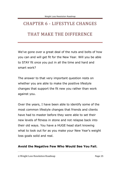## <span id="page-27-0"></span>CHAPTER 6 - LIFESTYLE CHANGES

### THAT MAKE THE DIFFERENCE

We've gone over a great deal of the nuts and bolts of how you can and will get fit for the New Year. Will you be able to STAY fit once you put in all the time and hard and smart work?

The answer to that very important question rests on whether you are able to make the positive lifestyle changes that support the fit new you rather than work against you.

Over the years, I have been able to identify some of the most common lifestyle changes that friends and clients have had to master before they were able to set their new levels of fitness in stone and not relapse back into their old ways. You have a HUGE head start knowing what to look out for as you make your New Year's weight loss goals solid and real.

#### **Avoid the Negative Few Who Would See You Fail.**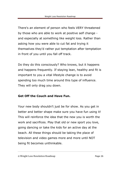There's an element of person who feels VERY threatened by those who are able to work at positive self change and especially at something like weight loss. Rather than asking how you were able to cut fat and trying it themselves they'd rather put temptation after temptation in front of you until you fall off track.

Do they do this consciously? Who knows, but it happens and happens frequently. If staying lean, healthy and fit is important to you a vital lifestyle change is to avoid spending too much time around this type of influence. They will only drag you down.

#### **Get Off the Couch and Have Fun.**

Your new body shouldn't just be for show. As you get in better and better shape make sure you have fun using it! This will reinforce the idea that the new you is worth the work and sacrifices. Play that old or new sport you love, going dancing or take the kids for an active day at the beach. All these things should be taking the place of television and video games more and more until NOT being fit becomes unthinkable.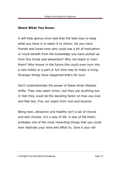#### **Share What You Know.**

A self help genius once said that the best way to keep what you have is to teach it to others. Do you have friends and loved ones who could use a bit of motivation or could benefit from the knowledge you have picked up from this Guide and elsewhere? Why not teach or train them? Who knows in the future this could even turn into a new hobby or a part or full time way to make a living. Stranger things have happened that's for sure.

Don't underestimate the power of these three lifestyle shifts. They may seem minor, but they are anything but. In fact they could be the deciding factor on how you look and feel two, five, ten years from now and beyond.

Being lean, attractive and healthy isn't a set of moves and diet choices. It's a way of life. A way of life that's probably one of the most rewarding things that you could ever dedicate your time and effort to. Give it your all!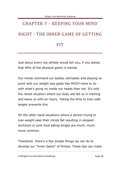# <span id="page-30-0"></span>CHAPTER 7 – KEEPING YOUR MIND RIGHT - THE INNER GAME OF GETTING

### FIT

Just about every top athlete would tell you, if you asked, that 90% of the physical game is mental.

Our minds command our bodies ultimately and staying on point with our weight loss goals has MUCH more to do with what's going on inside our heads than not. It's only the rarest situation where our body will fail us in training and leave us with an injury. Taking the time to train safe largely prevents this.

On the other hand situations where a person trying to lose weight sees their minds fail resulting in skipped workouts or junk food eating binges are much, much more common.

Thankfully. there's a few simple things we can do to develop our "Inner Game" of fitness. These tips can make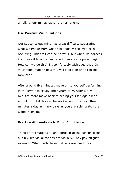#### an ally of our minds rather than an enemy!

#### **Use Positive Visualizations.**

Our subconscious mind has great difficulty separating what we image from what has actually occurred or is occurring. This trait can be harmful, but when we harness it and use it to our advantage it can also be pure magic. How can we do this? Sit comfortably with eyes shut. In your mind imagine how you will look lean and fit in the New Year.

After around five minutes move on to yourself performing in the gym powerfully and dynamically. After a few minutes more move back to seeing yourself again lean and fit. In total this can be worked on for ten or fifteen minutes a day as many days as you are able. Watch the wonders ensue.

#### **Practice Affirmations to Build Confidence.**

Think of affirmations as an approach to the subconscious audibly like visualizations are visually. They pay off just as much. When both these methods are used they

<sup>©</sup> Weight Loss Resolution Roadmap Page 29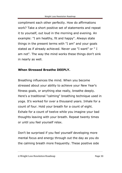compliment each other perfectly. How do affirmations work? Take a short positive set of statements and repeat it to yourself, out loud in the morning and evening. An example: "I am healthy, fit and happy". Always state things in the present terms with "I am" and your goals stated as if already achieved. Never use "I want" or " I am not". The way the mind works these things don't sink in nearly as well.

#### **When Stressed Breathe DEEPLY.**

Breathing influences the mind. When you become stressed about your ability to achieve your New Year's fitness goals, or anything else really, breathe deeply. Here's a traditional "calming" breathing technique used in yoga. It's worked for over a thousand years. Inhale for a count of four. Hold your breath for a count of eight. Exhale for a count of twelve while you imagine your bad thoughts leaving with your breath. Repeat twenty times or until you feel yourself relax.

Don't be surprised if you feel yourself developing more mental focus and energy through out the day as you do the calming breath more frequently. These positive side

<sup>©</sup> Weight Loss Resolution Roadmap Page 30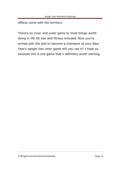effects come with the territory.

There's an inner and outer game to most things worth doing in life fat loss and fitness included. Now you're armed with the skill to become a champion of your New Year's weight loss inner game will you use it? I hope so, because this is one game that s definitely worth winning.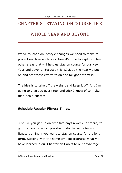# <span id="page-34-0"></span>CHAPTER 8 - STAYING ON COURSE THE WHOLE YEAR AND BEYOND

We've touched on lifestyle changes we need to make to protect our fitness choices. Now it's time to explore a few other areas that will help us stay on course for our New Year and beyond. Because this WILL be the year we put on and off fitness efforts to an end for good won't it?

The idea is to take off the weight and keep it off. And I'm going to give you every tool and trick I know of to make that idea a success!

#### **Schedule Regular Fitness Times.**

Just like you get up on time five days a week (or more) to go to school or work, you should do the same for your fitness training if you want to stay on course for the long term. Sticking with the same time incorporates what we have learned in our Chapter on Habits to our advantage.

<sup>©</sup> Weight Loss Resolution Roadmap Page 32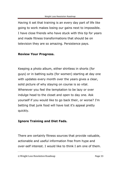Having it set that training is an every day part of life like going to work makes losing our gains next to impossible. I have close friends who have stuck with this tip for years and made fitness transformations that should be on television they are so amazing. Persistence pays.

#### **Review Your Progress.**

Keeping a photo album, either shirtless in shorts (for guys) or in bathing suits (for women) starting at day one with updates every month over the years gives a clear, solid picture of why staying on course is so vital. Whenever you feel the temptation to be lazy or over indulge head to the closet and open to day one. Ask yourself if you would like to go back their, or worse? I'm betting that junk food will have lost it's appeal pretty quickly.

#### **Ignore Training and Diet Fads.**

There are certainly fitness sources that provide valuable, actionable and useful information free from hype and over-self interest. I would like to think I am one of them.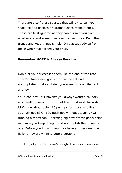There are also fitness sources that will try to sell you snake oil and useless programs just to make a buck. These are best ignored as they can distract you from what works and sometimes even cause injury. Buck the trends and keep things simple. Only accept advice from those who have earned your trust.

#### **Remember MORE is Always Possible.**

Don't let your successes seem like the end of the road. There's always new goals that can be set and accomplished that can bring you even more excitement and joy.

Your lean now, but haven't you always wanted six pack abs? Well figure out how to get them and work towards it! Or how about doing 25 pull ups for those who like strength goals? Or 100 push ups without stopping? Or running a marathon? If setting big new fitness goals helps motivate you keep doing it and accomplish them one by one. Before you know it you may have a fitness resume fit for an award winning auto biography!

Thinking of your New Year's weight loss resolution as a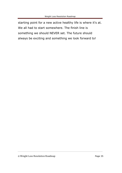starting point for a new active healthy life is where it's at. We all had to start somewhere. The finish line is something we should NEVER set. The future should always be exciting and something we look forward to!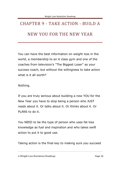## <span id="page-38-0"></span>CHAPTER 9 - TAKE ACTION - BUILD A NEW YOU FOR THE NEW YEAR

You can have the best information on weight loss in the world, a membership to an A class gym and one of the coaches from television's "The Biggest Loser" as your success coach, but without the willingness to take action what is it all worth?

Nothing.

If you are truly serious about building a new YOU for the New Year you have to stop being a person who JUST reads about it. Or talks about it. Or thinks about it. Or PLANS to do it.

You NEED to be the type of person who uses fat loss knowledge as fuel and inspiration and who takes swift action to put it to good use.

Taking action is the final key to making sure you succeed

<sup>©</sup> Weight Loss Resolution Roadmap Page 36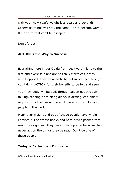with your New Year's weight loss goals and beyond! Otherwise things will stay the same. If not become worse. It's a truth that can't be escaped.

Don't forget...

#### **ACTION is the Way to Success.**

Everything here in our Guide from positive thinking to the diet and exercise plans are basically worthless if they aren't applied. They all need to be put into effect through you taking ACTION for their benefits to be felt and seen.

Your new body will be built through action not through talking, reading or thinking alone. If getting lean didn't require work their would be a lot more fantastic looking people in the world.

Many over weight and out of shape people have whole libraries full of fitness books and hard drives packed with weight loss guides. They never lose a pound because they never act on the things they've read. Don't be one of these people.

#### **Today is Better than Tomorrow.**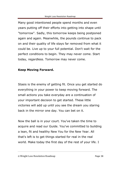Many good intentioned people spend months and even years putting off their efforts into getting into shape until "tomorrow". Sadly, this tomorrow keeps being postponed again and again. Meanwhile, the pounds continue to pack on and their quality of life stays far removed from what it could be. Live up to your full potential. Don't wait for the perfect conditions to begin. They may never come. Start today, regardless. Tomorrow may never come.

#### **Keep Moving Forward.**

Stasis is the enemy of getting fit. Once you get started do everything in your power to keep moving forward. The small actions you take everyday are a continuation of your important decision to get started. These little victories will add up until you see the dream you staring back in the mirror one day. You can bet on it.

Now the ball is in your court. You've taken the time to acquire and read our Guide. You've committed to building a lean, fit and healthy New You for the New Year. All that's left is to get things started for real in the real world. Make today the first day of the rest of your life. I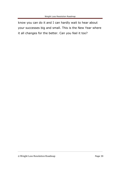know you can do it and I can hardly wait to hear about your successes big and small. This is the New Year where it all changes for the better. Can you feel it too?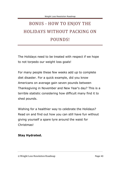## <span id="page-42-0"></span>BONUS - HOW TO ENJOY THE HOLIDAYS WITHOUT PACKING ON POUNDS!

The Holidays need to be treated with respect if we hope to not torpedo our weight loss goals!

For many people these few weeks add up to complete diet disaster. For a quick example, did you know Americans on average gain seven pounds between Thanksgiving in November and New Year's day? This is a terrible statistic considering how difficult many find it to shed pounds.

Wishing for a healthier way to celebrate the Holidays? Read on and find out how you can still have fun without giving yourself a spare tyre around the waist for Christmas!

#### **Stay Hydrated.**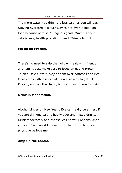The more water you drink the less calories you will eat. Staying hydrated is a sure way to not over indulge on food because of false "hunger" signals. Water is your calorie less, health providing friend. Drink lots of it.

#### **Fill Up on Protein.**

There's no need to skip the holiday meals with friends and family. Just make sure to focus on eating protein. Think a little extra turkey or ham over potatoes and rice. More carbs with less activity is a sure way to get fat. Protein, on the other hand, is much much more forgiving.

#### **Drink in Moderation.**

Alcohol binges on New Year's Eve can really be a mess if you are drinking calorie heavy beer and mixed drinks. Drink moderately and choose less harmful options when you can. You can still have fun while not torching your physique believe me!

#### **Amp Up the Cardio.**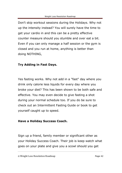Don't skip workout sessions during the Holidays. Why not up the intensity instead? You will surely have the time to get your cardio in and this can be a pretty effective counter measure should you stumble and over eat a bit. Even if you can only manage a half session or the gym is closed and you run at home, anything is better than doing NOTHING,

#### **Try Adding in Fast Days.**

Yes fasting works. Why not add in a "fast" day where you drink only calorie less liquids for every day where you broke your diet? This has been shown to be both safe and effective. You may even decide to give fasting a shot during your normal schedule too. If you do be sure to check out an Intermittent Fasting Guide or book to get yourself caught up to speed.

#### **Have a Holiday Success Coach.**

Sign up a friend, family member or significant other as your Holiday Success Coach. Their job is keep watch what goes on your plate and give you a scowl should you get